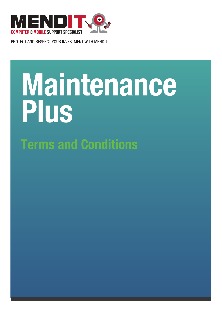

PROTECT AND RESPECT YOUR INVESTMENT WITH MENDIT

# **Maintenance Plus Terms and Conditions**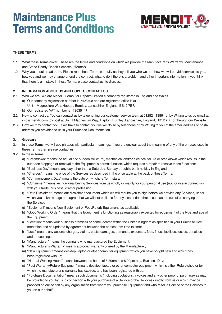## **Maintenance Plus Terms and Conditions**



#### **THESE TERMS**

- 1.1 What these Terms cover. These are the terms and conditions on which we provide the Manufacturer's Warranty, Maintenance and Stand Ready Repair Services ("Terms").
- 1.2 Why you should read them. Please read these Terms carefully as they tell you who we are, how we will provide services to you, how you and we may change or end the contract, what to do if there is a problem and other important information. If you think that there is a mistake in these Terms, please contact us to discuss.

#### **2. INFORMATION ABOUT US AND HOW TO CONTACT US**

- 2.1 Who we are. We are MendIT Computer Repairs Limited a company registered in England and Wales.
	- a) Our company registration number is 7423708 and our registered office is at
		- Unit 1 Magnesium Way, Hapton, Burnley, Lancashire, England, BB12 7BF.
		- b) Our registered VAT number is 113635147.
- 2.2 How to contact us. You can contact us by telephoning our customer service team at 01282 418864 or by Writing to us by email at info@mendit.com. by post at Unit 1 Magnesium Way, Hapton, Burnley, Lancashire, England, BB12 7BF or through our Website.
- 2.3 How we may contact you. If we have to contact you we will do so by telephone or by Writing to you at the email address or postal address you provided to us in your Purchase Documentation.

#### **3. Glossary**

- 3.1 In these Terms, we will use phrases with particular meanings. If you are unclear about the meaning of any of the phrases used in these Terms then please contact us.
- 3.2 In these Terms:
	- a) "Breakdown" means the actual and sudden structural, mechanical and/or electrical failure or breakdown which results in the sud-den stoppage or removal of the Equipment's normal function, which requires a repair to resolve those functions;
	- b) "Business Day" means any day other than a Saturday, Sunday or public bank holiday in England;
	- c) "Charges" means the price of the Services as described in the price table at the back of these Terms;
	- d) "Commencement Date" means the date on whichthe Term starts;
	- e) "Consumer" means an individual buying Services from us wholly or mainly for your personal use (not for use in connection with your trade, business, craft or profession);
	- f) "Data Disclaimer" means our disclaimer document which we will require you to sign before we provide any Services, under which you acknowledge and agree that we will not be liable for any loss of data that occurs as a result of us carrying out the Services;
	- g) "Equipment" means New Equipment or Post/Refurb Equipment, as applicable;
	- h) "Good Working Order" means that the Equipment is functioning as reasonably expected for equipment of the type and age of the Equipment;
	- i) "Location" means your business premises or home located within the United Kingdom as specified in your Purchase Docu mentation and as updated by agreement between the parties from time to time;
	- j) "Loss" means any actions, charges, claims, costs, damages, demands, expenses, fees, fines, liabilities, losses, penalties and proceedings;
	- k) "Manufacturer" means the company who manufactured the Equipment;
	- l) "Manufacturer's Warranty" means a product warranty offered by the Manufacturer;
	- m) "New Equipment" means desktop, laptop or other computer equipment which you have bought new and which has been registered with us;
	- n) "Normal Working Hours" means between the hours of 8.30am and 5.00pm on a Business Day;
	- o) "Post Warranty/Refurb Equipment" means desktop, laptop or other computer equipment which is either Refurbished or for which the manufacturer's warranty has expired, and has been registered with us;
	- p) "Purchase Documentation" means such documents (including quotations, invoices and any other proof of purchase) as may be provided to you by us in connection with your purchase of a Service or the Services directly from us or which may be provided on our behalf by any organisation from whom you purchase Equipment and who resell a Service or the Services to you on our behalf;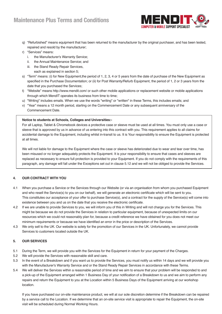### **Maintenance Plus Terms and Conditions**



- q) "Refurbished" means equipment that has been returned to the manufacturer by the original purchaser, and has been tested, repaired and resold by the manufacturer;
- r) "Services" means:
	- i. the Manufacturer's Warranty Service;
	- ii. the Annual Maintenance Service; and
	- iii. the Stand Ready Repair Services, each as explained in section 5;
- s) "Term" means: (i) for New Equipment,the period of 1, 2, 3, 4 or 5 years from the date of purchase of the New Equipment as specified in the Purchase Documentation; or (ii) for Post Warranty/Refurb Equipment, the period of 1, 2 or 3 years from the date that you purchased the Services;
- t) "Website" means http://www.mendit.com/ or such other mobile applications or replacement website or mobile applications through which MendIT operates its business from time to time;
- u) "Writing" includes emails. When we use the words "writing" or "written" in these Terms, this includes emails; and
- v) "Year" means a 12 month period, starting on the Commencement Date or any subsequent anniversary of the Commencement Date.

#### **Notice to students at Schools, Colleges and Universities:-**

 For all Laptop, Tablet & Chromebook devices a protective case or sleeve must be used at all times. You must only use a case or sleeve that is approved by us in advance of us entering into this contract with you. This requirement applies to all claims for accidental damage to the Equipment, including whilst in-transit to us. It is Your responsibility to ensure the Equipment is protected at all times.

 We will not liable for damage to the Equipment where the case or sleeve has deteriorated due to wear and tear over time, has been misused or no longer adequately protects the Equipment. It is your responsibility to ensure that cases and sleeves are replaced as necessary to ensure full protection is provided to your Equipment. If you do not comply with the requirements of this paragraph, any damage will fall under the Exceptions set out in clause 5.12 and we will not be obliged to provide the Services.

#### **4. OUR CONTRACT WITH YOU**

- 4.1 When you purchase a Service or the Services through our Website (or via an organisation from whom you purchased Equipment and who resell the Service(s) to you on our behalf), we will generate an electronic certificate which will be sent to you. This constitutes our acceptance of your offer to purchase Service(s), and a contract for the supply of the Service(s) will come into existence between you and us on the date that you receive the electronic certificate.
- 4.2 If we are unable to provide Services to you, we will inform you of this in Writing and will not charge you for the Services. This might be because we do not provide the Services in relation to particular equipment, because of unexpected limits on our resources which we could not reasonably plan for, because a credit reference we have obtained for you does not meet our minimum requirements or because we have identified an error in the price or description of the Services.
- 4.3 We only sell to the UK. Our website is solely for the promotion of our Services in the UK. Unfortunately, we cannot provide Services to customers located outside the UK.

#### **5. OUR SERVICES**

- 5.1 During the Term, we will provide you with the Services for the Equipment in return for your payment of the Charges.
- 5.2 We will provide the Services with reasonable skill and care.
- 5.3 In the event of a Breakdown and if you want us to provide the Services, you must notify us within 14 days and we will provide you with the Manufacturer's Warranty Service and or the Stand Ready Repair Services in accordance with these Terms.
- 5.4 We will deliver the Services within a reasonable period of time and we aim to ensure that your problem will be responded to and a pick-up of the Equipment arranged within 1 Business Day of your notification of a Breakdown to us and we aim to perform any repairs and return the Equipment to you at the Location within 5 Business Days of the Equipment arriving at our workshop location.

 If you have purchased our on-site maintenance product, we will at our sole discretion determine if the Breakdown can be repaired by a service call to the Location. If we determine that an on-site service visit is appropriate to repair the Equipment, the on-site visit will be scheduled during Normal Working Hours.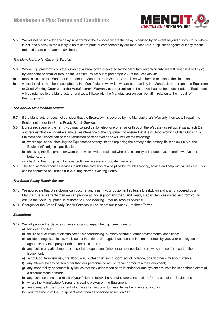

5.5 We will not be liable for any delay in performing the Services where the delay is caused by an event beyond our control or where it is due to a delay in the supply to us of spare parts or components by our manufacturers, suppliers or agents or if any recom mended spare parts are not available.

#### *The Manufacturer's Warranty Service*

- 5.6 Where Equipment which is the subject of a Breakdown is covered by the Manufacturer's Warranty, we will, when notified by you by telephone or email or through the Website (as set out at paragraph 2.2) of the Breakdown:
- a) make a claim to the Manufacturer under the Manufacturer's Warranty and liaise with them in relation to the claim; and
- b) where the claim has been accepted by the Manufacturer, we will, if we are approved by the Manufacturer to repair the Equipment to Good Working Order under the Manufacturer's Warranty at our premises or if approval has not been obtained, the Equipment will be returned to the Manufacturer and we will liaise with the Manufacturer on your behalf in relation to their repair of the Equipment.

#### *The Annual Maintenance Service*

- 5.7 If the Manufacturer does not consider that the Breakdown is covered by the Manufacturer's Warranty then we will repair the Equipment under the Stand Ready Repair Service.
- 5.8 During each year of the Term, you may contact us, by telephone or email or through the Website (as set out at paragraph 2.2), and request that we undertake annual maintenance of the Equipment to ensure that it is in Good Working Order. Our Annual Maintenance Service can only be requested once per year and will include the following:
	- a) where applicable, checking the Equipment's battery life and replacing the battery if the battery life is below 60% of the Equipment's original specification;
	- b) checking the Equipment for worn parts which will be replaced where functionality is impeded, i.e., home/power/volume buttons; and
	- c) checking the Equipment for latest software release and update if required.
- 5.9 The Annual Maintenance Service includes the provision of a helpline for troubleshooting, advice and help with viruses etc. This can be contacted at 01282 418864 during Normal Working Hours.

#### *The Stand Ready Repair Service*

- 5.10 We appreciate that Breakdowns can occur at any time. If your Equipment suffers a Breakdown and it is not covered by a Manufacturer's Warranty then we can provide ad hoc support and the Stand Ready Repair Services on request from you to ensure that your Equipment is restored to Good Working Order as soon as possible.
- 5.11 Charges for the Stand Ready Repair Services will be as set out in Annex 1 to these Terms.

#### *Exceptions*

- 5.12 We will provide the Services unless we cannot repair the Equipment due to:
	- a) fair wear and tear;
	- b) failure or fluctuation of electric power, air conditioning, humidity control or other environmental conditions;
	- c) accident, neglect, misuse, malicious or intentional damage, abuse, contamination or default by you, your employees or agents or any third party or other external carriers;
	- d) any fault in any attachments or associated equipment (whether or not supplied by us) which do not form part of the Equipment;
	- e) act of God, terrorism risk, fire, flood, war, nuclear risk, sonic boom, act of violence, or any other similar occurrence;
	- f) any attempt by any person other than our personnel to adjust, repair or maintain the Equipment;
	- g) any inoperability or compatibility issues that may arise when parts intended for one system are installed in another system of a different make or model;
	- h) any fault occurring as a result of your failure to follow the Manufacturer's instructions for the use of the Equipment;
	- i) where the Manufacturer's repairer's seal is broken on the Equipment;
	- j) any damage to the Equipment which was caused prior to these Terms being entered into; or
	- k) Your treatment of the Equipment other than as specified at section 11.1.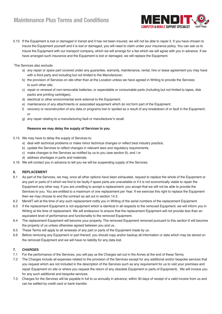

5.13 If the Equipment is lost or damaged in transit and it has not been insured, we will not be able to repair it. If you have chosen to insure the Equipment yourself and it is lost or damaged, you will need to claim under your insurance policy. You can ask us to insure the Equipment with our transport company, which we will arrange for a fee which we will agree with you in advance. If we have arranged such insurance and the Equipment is lost or damaged, we will replace the Equipment.

`The Services also exclude:

- a) any repair or spare part covered under any guarantee, warranty, maintenance, rental, hire or lease agreement you may have with a third party and including but not limited to the Manufacturer;
- b) the provision of Services on site other than at the Location unless we have agreed in Writing to provide the Services to such other site;
- c) repair or renewal of non-removable batteries, or expendable or consumable parts (including but not limited to tapes, disk packs and printing cartridges);
- d) electrical or other environmental work external to the Equipment;
- e) maintenance of any attachments or associated equipment which do not form part of the Equipment;
- f) recovery or reconstruction of any data or programs lost or spoiled as a result of any breakdown of or fault in the Equipment; or
- g) any repair relating to a manufacturing fault or manufacturer's recall.

#### **Reasons we may delay the supply of Services to you.**

- 5.15 We may have to delay the supply of Services to:
	- a) deal with technical problems or make minor technical changes or reflect best industry practice;
	- b) update the Services to reflect changes in relevant laws and regulatory requirements;
	- c) make changes to the Services as notified by us to you (see section 9); and / or
	- d) address shortages in parts and materials.
- 5.16 We will contact you in advance to tell you we will be suspending supply of the Services.

#### **6. REPLACEMENT**

- 6.1 As part of the Services, we may, once all other options have been exhausted, request to replace the whole of the Equipment or any part or parts of it which we find to be faulty if spare parts are unavailable or if it is not economically viable to repair the Equipment any other way. If you are unwilling to accept a replacement, you accept that we will not be able to provide the Services to you. You are entitled to a maximum of one replacement per Year. If we exercise this right to replace the Equipment then we may choose to end the contract as set out in section 14.3.
- 6.2 MendIT will at the time of any such replacement notify you in Writing of the serial numbers of the replacement Equipment.
- 6.3 If the replacement Equipment is not equipment which is identical in all respects to the removed Equipment, we will inform you in Writing at the time of replacement. We will endeavour to ensure that the replacement Equipment will not provide less than an equivalent level of performance and functionality to the removed Equipment.
- 6.4 The replacement Equipment will become your property. The removed Equipment removed pursuant to this section 6 will become the property of us unless otherwise agreed between you and us.
- 6.5 These Terms will apply to all renewals of any part or parts of the Equipment made by us.
- 6.6 Before removing any Equipment or part thereof, you should copy and/or backup all information or data which may be stored on the removed Equipment and we will have no liability for any data lost.

#### **7. CHARGES**

- 7.1 For the performance of the Services, you will pay us the Charges set out in the Annex at the end of these Terms.
- 7.2 The Charges include all expenses related to the provision of the Services except for any additional and/or bespoke services that you request which are not included in the description of the Services such as any requirement for us to visit your premises and repair Equipment on site or where you request the return of any obsolete Equipment or parts of Equipment). We will invoice you for any such additional and bespoke services.
- 7.3 Charges for the Services will be payable in full to us annually in advance, within 30 days of receipt of a valid invoice from us and can be settled by credit card or bank transfer.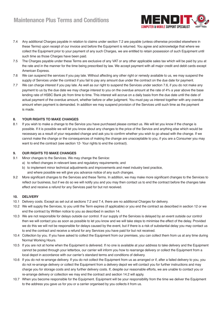

- 7.4 Any additional Charges payable in relation to claims under section 7.2 are payable (unless otherwise provided elsewhere in these Terms) upon receipt of our invoice and before the Equipment is returned. You agree and acknowledge that where we collect the Equipment prior to your payment of any such Charges, we are entitled to retain possession of such Equipment until such time as those Charges have been paid.
- 7.5 The Charges payable under these Terms are exclusive of any VAT or any other applicable sales tax which will be paid by you at the rate and in the manner for the time being prescribed by law. We accept payment with all major credit and debit cards except American Express.
- 7.6 We can suspend the services if you pay late. Without affecting any other right or remedy available to us, we may suspend the supply of Services under the contract if you fail to pay any amount due under the contract on the due date for payment.
- 7.7 We can charge interest if you pay late. As well as our right to suspend the Services under section 7.6, if you do not make any payment to us by the due date we may charge interest to you on the overdue amount at the rate of 4% a year above the base lending rate of HSBC Bank plc from time to time. This interest will accrue on a daily basis from the due date until the date of actual payment of the overdue amount, whether before or after judgment. You must pay us interest together with any overdue amount when payment is demanded. In addition we may suspend provision of the Services until such time as the payment is made.

#### **8. YOUR RIGHTS TO MAKE CHANGES**

8.1 If you wish to make a change to the Service you have purchased please contact us. We will let you know if the change is possible. If it is possible we will let you know about any changes to the price of the Service and anything else which would be necessary as a result of your requested change and ask you to confirm whether you wish to go ahead with the change. If we cannot make the change or the consequences of making the change are unacceptable to you, if you are a Consumer you may want to end the contract (see section 12- Your rights to end the contract).

#### **9. OUR RIGHTS TO MAKE CHANGES**

- 9.1 Minor changes to the Services. We may change the Service:
	- a) to reflect changes in relevant laws and regulatory requirements; and
	- b) to implement minor technical adjustments and improvements and meet industry best practice, and where possible we will give you advance notice of any such changes.
- 9.2 More significant changes to the Services and these Terms. In addition, we may make more significant changes to the Services to reflect our business, but if we do so we will notify you and you may then contact us to end the contract before the changes take effect and receive a refund for any Services paid for but not received.

#### **10. DELIVERY**

- 10.1 Delivery costs. Except as set out at sections 7.2 and 7.4, there are no additional Charges for delivery.
- 10.2 We will supply the Services, to you until the Term expires (if applicable) or you end the contract as described in section 12 or we end the contract by Written notice to you as described in section 14.
- 10.3 We are not responsible for delays outside our control. If our supply of the Services is delayed by an event outside our control then we will contact you as soon as possible to let you know and we will take steps to minimise the effect of the delay. Provided we do this we will not be responsible for delays caused by the event, but if there is a risk of substantial delay you may contact us to end the contract and receive a refund for any Services you have paid for but not received.
- 10.4 Collection by you. If you have asked to collect the Equipment from our premises, you can collect them from us at any time during Normal Working Hours.
- 10.5 If you are not at home when the Equipment is delivered. If no one is available at your address to take delivery and the Equipment cannot be posted through your letterbox, our carrier will inform you how to rearrange delivery or collect the Equipment from a local depot in accordance with our carrier's standard terms and conditions of delivery.
- 10.6 If you do not re-arrange delivery. If you do not collect the Equipment from us as arranged or if, after a failed delivery to you, you do not re-arrange delivery or collect the Equipment from a delivery depot we will contact you for further instructions and may charge you for storage costs and any further delivery costs. If, despite our reasonable efforts, we are unable to contact you or re-arrange delivery or collection we may end the contract and section 14.2 will apply.
- 10.7 When you become responsible for the Equipment. Equipment will be your responsibility from the time we deliver the Equipment to the address you gave us for you or a carrier organised by you collects it from us.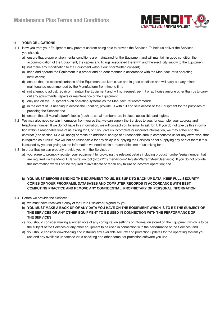

#### **11. YOUR OBLIGATIONS**

- 11.1 How you treat your Equipment may prevent us from being able to provide the Services. To help us deliver the Services, you should:
	- a) ensure that proper environmental conditions are maintained for the Equipment and will maintain in good condition the accommo dation of the Equipment, the cables and fittings associated therewith and the electricity supply to the Equipment;
	- b) not make any modification to the Equipment without our prior Written consent;
	- c) keep and operate the Equipment in a proper and prudent manner in accordance with the Manufacturer's operating instructions;
	- d) ensure that the external surfaces of the Equipment are kept clean and in good condition and will carry out any minor maintenance recommended by the Manufacturer from time to time;
	- e) not attempt to adjust, repair or maintain the Equipment and will not request, permit or authorise anyone other than us to carry out any adjustments, repairs or maintenance of the Equipment;
	- f) only use on the Equipment such operating systems as the Manufacturer recommends;
	- g) in the event of us needing to access the Location, provide us with full and safe access to the Equipment for the purposes of providing the Service; and
	- h) ensure that all Manufacturer's labels (such as serial numbers) are in place, accessible and legible.
- 11.2 We may also need certain information from you so that we can supply the Services to you, for example, your address and telephone number. If we do not have this information, we will contact you by email to ask for it. If you do not give us this informa tion within a reasonable time of us asking for it, or if you give us incomplete or incorrect information, we may either end the contract (and section 14.2 will apply) or make an additional charge of a reasonable sum to compensate us for any extra work that is required as a result. We will not be responsible for any delay in supplying the Services or not supplying any part of them if this is caused by you not giving us the information we need within a reasonable time of us asking for it.
- 11.3 In order that we can properly provide you with the Services :
	- a) you agree to promptly register your equipment by providing the relevant details including product number/serial number that are required via the MendIT Registration tool (https://my.mendit.com/RegisterWarrantyNewUser.aspx). If you do not provide this information we will not be required to investigate or repair any failure or incorrect operation; and

#### b) **YOU MUST BEFORE SENDING THE EQUIPMENT TO US, BE SURE TO BACK UP DATA, KEEP FULL SECURITY COPIES OF YOUR PROGRAMS, DATABASES AND COMPUTER RECORDS IN ACCORDANCE WITH BEST COMPUTING PRACTICE AND REMOVE ANY CONFIDENTIAL, PROPRIETARY OR PERSONAL INFORMATION.**

- 11.4 Before we provide the Services:
	- a) we must have received a copy of the Data Disclaimer, signed by you;
	- b) **YOU MUST MAKE A BACK-UP OF ANY DATA YOU HAVE ON THE EQUIPMENT WHICH IS TO BE THE SUBJECT OF THE SERVICES OR ANY OTHER EQUIPMENT TO BE USED IN CONNECTION WITH THE PERFORMANCE OF THE SERVICES;**
	- c) you should consider making a written note of any configuration settings or information stored on the Equipment which is to be the subject of the Services or any other equipment to be used in connection with the performance of the Services; and
	- d) you should consider downloading and installing any available security and protection updates for the operating system you use and any available updates to virus-checking and other computer protection software you use.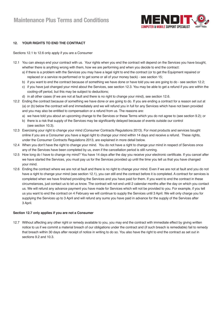

#### **12. YOUR RIGHTS TO END THE CONTRACT**

Sections 12.1 to 12.6 only apply if you are a Consumer

- 12.1 You can always end your contract with us. Your rights when you end the contract will depend on the Services you have bought, whether there is anything wrong with them, how we are performing and when you decide to end the contract:
	- a) if there is a problem with the Services you may have a legal right to end the contract (or to get the Equipment repaired or replaced or a service re-performed or to get some or all of your money back) - see section 15;
	- b) if you want to end the contract because of something we have done or have told you we are going to do see section 12.2;
	- c) if you have just changed your mind about the Services, see section 12.3. You may be able to get a refund if you are within the cooling-off period, but this may be subject to deductions;
	- d) in all other cases (if we are not at fault and there is no right to change your mind), see section 12.6.
- 12.2 Ending the contract because of something we have done or are going to do. If you are ending a contract for a reason set out at (a) or (b) below the contract will end immediately and we will refund you in full for any Services which have not been provided and you may also be entitled to compensation or a refund from us. The reasons are:
	- a) we have told you about an upcoming change to the Services or these Terms which you do not agree to (see section 9.2); or
	- b) there is a risk that supply of the Services may be significantly delayed because of events outside our control (see section 10.3).
- 12.3 Exercising your right to change your mind (Consumer Contracts Regulations 2013). For most products and services bought online if you are a Consumer you have a legal right to change your mind within 14 days and receive a refund. These rights, under the Consumer Contracts Regulations 2013, are explained in more detail below.
- 12.4 When you don't have the right to change your mind. You do not have a right to change your mind in respect of Services once any of the Services have been completed by us, even if the cancellation period is still running.
- 12.5 How long do I have to change my mind? You have 14 days after the day you receive your electronic certificate. If you cancel after we have started the Services, you must pay us for the Services provided up until the time you tell us that you have changed your mind.
- 12.6 Ending the contract where we are not at fault and there is no right to change your mind. Even if we are not at fault and you do not have a right to change your mind (see section 12.1), you can still end the contract before it is completed. A contract for services is completed when we have finished providing the Services and you have paid for them. If you want to end the contract in these circumstances, just contact us to let us know. The contract will not end until 2 calendar months after the day on which you contact us. We will refund any advance payment you have made for Services which will not be provided to you. For example, if you tell us you want to end the contract on 4 February we will continue to supply the Services until 3 April. We will only charge you for supplying the Services up to 3 April and will refund any sums you have paid in advance for the supply of the Services after 3 April.

#### **Section 12.7 only applies if you are not a Consumer**

12.7 Without affecting any other right or remedy available to you, you may end the contract with immediate effect by giving written notice to us if we commit a material breach of our obligations under the contract and (if such breach is remediable) fail to remedy that breach within 30 days after receipt of notice in writing to do so. You also have the right to end the contract as set out in sections 9.2 and 10.3.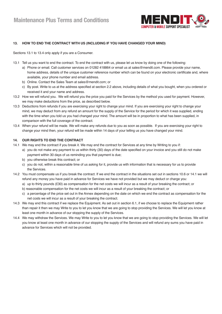

#### **13. HOW TO END THE CONTRACT WITH US (INCLUDING IF YOU HAVE CHANGED YOUR MIND)**

Sections 13.1 to 13.4 only apply if you are a Consumer.

- 13.1 Tell us you want to end the contract. To end the contract with us, please let us know by doing one of the following:
	- a) Phone or email. Call customer services on 01282 418864 or email us at sales@mendit.com. Please provide your name, home address, details of the unique customer reference number which can be found on your electronic certificate and, where available, your phone number and email address.
	- b) Online. Contact the Sales Team at sales@mendit.com; or
	- c) By post. Write to us at the address specified at section 2.2 above, including details of what you bought, when you ordered or received it and your name and address.
- 13.2 How we will refund you. We will refund you the price you paid for the Services by the method you used for payment. However, we may make deductions from the price, as described below.
- 13.3 Deductions from refunds if you are exercising your right to change your mind. If you are exercising your right to change your mind, we may deduct from any refund an amount for the supply of the Service for the period for which it was supplied, ending with the time when you told us you had changed your mind. The amount will be in proportion to what has been supplied, in comparison with the full coverage of the contract.
- 13.4 When your refund will be made. We will make any refunds due to you as soon as possible. If you are exercising your right to change your mind then, your refund will be made within 14 days of your telling us you have changed your mind.

#### **14. OUR RIGHTS TO END THE CONTRACT**

- 14.1 We may end the contract if you break it. We may end the contract for Services at any time by Writing to you if:
	- a) you do not make any payment to us within thirty (30) days of the date specified on your invoice and you still do not make payment within 30 days of us reminding you that payment is due;
		- b) you otherwise break this contract; or
		- c) you do not, within a reasonable time of us asking for it, provide us with information that is necessary for us to provide the Services.
- 14.2 You must compensate us if you break the contract. If we end the contract in the situations set out in sections 10.6 or 14.1 we will refund any money you have paid in advance for Services we have not provided but we may deduct or charge you:
	- a) up to thirty pounds (£30) as compensation for the net costs we will incur as a result of your breaking the contract; or
	- b) reasonable compensation for the net costs we will incur as a result of your breaking the contract; or
	- c) a percentage of the price set out in the Annex depending on the date on which we end the contract as compensation for the net costs we will incur as a result of your breaking the contract.
- 14.3 We may end this contract if we replace the Equipment. As set out in section 6.1, if we choose to replace the Equipment rather than repair it then we may Write to you to let you know that we are going to stop providing the Services. We will let you know at least one month in advance of our stopping the supply of the Services.
- 14.4 We may withdraw the Services. We may Write to you to let you know that we are going to stop providing the Services. We will let you know at least one month in advance of our stopping the supply of the Services and will refund any sums you have paid in advance for Services which will not be provided.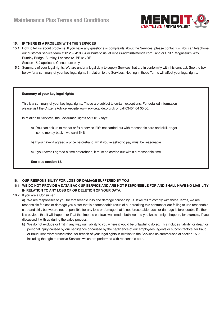

#### **15. IF THERE IS A PROBLEM WITH THE SERVICES**

- 15.1 How to tell us about problems. If you have any questions or complaints about the Services, please contact us. You can telephone our customer service team at 01282 418864 or Write to us at repairs-admin@mendit.com and/or Unit 1 Magnesium Way, Burnley Bridge, Burnley, Lancashire. BB12 7BF. Section 15.2 applies to Consumers only
- 15.2 Summary of your legal rights. We are under a legal duty to supply Services that are in conformity with this contract. See the box below for a summary of your key legal rights in relation to the Services. Nothing in these Terms will affect your legal rights.

#### **Summary of your key legal rights**

This is a summary of your key legal rights. These are subject to certain exceptions. For detailed information please visit the Citizens Advice website www.adviceguide.org.uk or call 03454 04 05 06.

In relation to Services, the Consumer Rights Act 2015 says:

- a) You can ask us to repeat or fix a service if it's not carried out with reasonable care and skill, or get some money back if we can't fix it.
- b) If you haven't agreed a price beforehand, what you're asked to pay must be reasonable.
- c) If you haven't agreed a time beforehand, it must be carried out within a reasonable time.

 **See also section 13.**

#### **16. OUR RESPONSIBILITY FOR LOSS OR DAMAGE SUFFERED BY YOU**

#### 16.1 **WE DO NOT PROVIDE A DATA BACK UP SERVICE AND ARE NOT RESPONSIBLE FOR AND SHALL HAVE NO LIABILITY IN RELATION TO ANY LOSS OF OR DELETION OF YOUR DATA.**

16.2 If you are a Consumer:

 a) We are responsible to you for foreseeable loss and damage caused by us. If we fail to comply with these Terms, we are responsible for loss or damage you suffer that is a foreseeable result of our breaking this contract or our failing to use reasonable care and skill, but we are not responsible for any loss or damage that is not foreseeable. Loss or damage is foreseeable if either it is obvious that it will happen or if, at the time the contract was made, both we and you knew it might happen, for example, if you discussed it with us during the sales process.

 b) We do not exclude or limit in any way our liability to you where it would be unlawful to do so. This includes liability for death or personal injury caused by our negligence or caused by the negligence of our employees, agents or subcontractors; for fraud or fraudulent misrepresentation; for breach of your legal rights in relation to the Services as summarised at section 15.2, including the right to receive Services which are performed with reasonable care.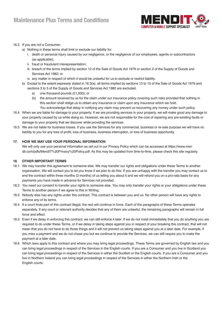

#### 16.3 If you are not a Consumer:

- a) Nothing in these terms shall limit or exclude our liability for:
	- i. death or personal injury caused by our negligence, or the negligence of our employees, agents or subcontractors (as applicable);
	- ii. fraud or fraudulent misrepresentation;
	- iii. breach of the terms implied by section 12 of the Sale of Goods Act 1979 or section 2 of the Supply of Goods and Services Act 1982; or
	- iv. any matter in respect of which it would be unlawful for us to exclude or restrict liability.
- b) Except to the extent expressly stated in 16.3(a), all terms implied by sections 13 to 15 of the Sale of Goods Act 1979 and sections 3 to 5 of the Supply of Goods and Services Act 1982 are excluded.
	- a) one thousand pounds (£1,000); or
	- (b) the amount received by us for the claim under our insurance policy covering such risks provided that nothing in this section shall oblige us to obtain any insurance or claim upon any insurance which we hold. You acknowledge that delay in notifying any claim may prevent us recovering any money under such policy.
- 16.4 When we are liable for damage to your property. If we are providing services in your property, we will make good any damage to your property caused by us while doing so. However, we are not responsible for the cost of repairing any pre-existing faults or damage to your property that we discover while providing the services.
- 16.5 We are not liable for business losses. If you use the Services for any commercial, business or re-sale purpose we will have no liability to you for any loss of profit, loss of business, business interruption, or loss of business opportunity.

#### **17. HOW WE MAY USE YOUR PERSONAL INFORMATION**

 We will only use your personal information as set out in our Privacy Policy which can be accessed at https://www.men dit.com/pdfs/MendIT%20Privacy%20Policy.pdf. As this may be updated from time-to-time, please check this site regularly.

#### **18. OTHER IMPORTANT TERMS**

- 18.1 We may transfer this agreement to someone else. We may transfer our rights and obligations under these Terms to another organisation. We will contact you to let you know if we plan to do this. If you are unhappy with the transfer you may contact us to end the contract within three months (3 months) of us telling you about it and we will refund you on a pro-rata basis for any payments you have made in advance for Services not provided.
- 18.2 You need our consent to transfer your rights to someone else. You may only transfer your rights or your obligations under these Terms to another person if we agree to this in Writing.
- 18.3 Nobody else has any rights under this contract. This contract is between you and us. No other person will have any rights to enforce any of its terms.
- 18.4 If a court finds part of this contract illegal, the rest will continue in force. Each of the paragraphs of these Terms operates separately. If any court or relevant authority decides that any of them are unlawful, the remaining paragraphs will remain in full force and effect.
- 18.5 Even if we delay in enforcing this contract, we can still enforce it later. If we do not insist immediately that you do anything you are required to do under these Terms, or if we delay in taking steps against you in respect of your breaking this contract, that will not mean that you do not have to do those things and it will not prevent us taking steps against you at a later date. For example, if you miss a payment and we do not chase you but we continue to provide the Services, we can still require you to make the payment at a later date.
- 18.6 Which laws apply to this contract and where you may bring legal proceedings. These Terms are governed by English law and you can bring legal proceedings in respect of the Services in the English courts. If you are a Consumer and you live in Scotland you can bring legal proceedings in respect of the Services in either the Scottish or the English courts. If you are a Consumer and you live in Northern Ireland you can bring legal proceedings in respect of the Services in either the Northern Irish or the English courts.